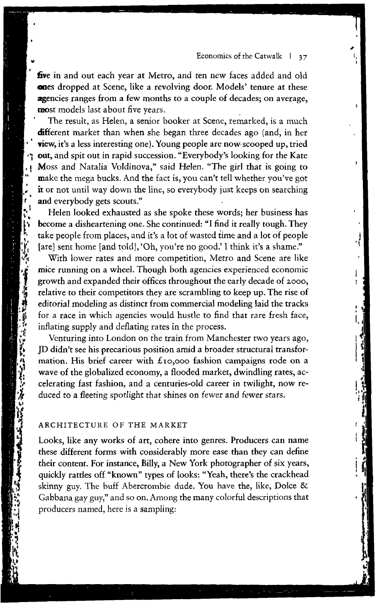## Economics of the Catwalk  $\frac{1}{3}$

five in and out each year at Metro, and ten new faces added and old ones dropped at Scene, like a revolving door. Models' tenure at these agencies ranges from a few months to a couple of decades; on average, most models last about five years.

The result, as Helen, a senior booker at Scene, remarked, is a much different market than when she began three decades ago (and, in her view, it's a less interesting one). Young people are now scooped up, tried out, and spit out in rapid succession. " Everybody's looking for the Kate Moss and Natalia Voldinova," said Helen. " The girl that is going to make the mega bucks. And the fact is, you can't tell whether you've got it or not until way down the line, so everybody just keeps on searching and everybody gets scouts."

Helen looked exhausted as she spoke these words; her business has become a disheartening one. She continued: "I find it really tough. They take people from places, and it's a lot of wasted time and a lot of people [are] sent home [and told], 'Oh, you're no good.' I think it's a shame."

With lower rates and more competition, Metro and Scene are like mice running on a wheel. Though both agencies experienced economic growth and expanded their offices throughout the early decade of 2000, relative to their competitors they are scrambling to keep up. The rise of editorial modeling as distinct from commercial modeling laid the tracks for a race in which agencies would hustle to find that rare fresh face, inflating supply and deflating rates in the process.

Venturing into London on the train from Manchester two years ago, JD didn't see his precarious position amid a broader structural transformation. His brief career with £10,000 fashion campaigns rode on a wave of the globalized economy, a flooded market, dwindling rates, accelerating fast fashion, and a centuries-old career in twilight, now reduced to a fleeting spotlight that shines on fewer and fewer stars.

### ARCHITECTURE OF THE MARKET

r"<mark>i</mark> I I t »I

*n*

Looks, like any works of art, cohere into genres. Producers can name these different forms with considerably more ease than they can define their content. For instance, Billy, a New York photographer of six years, quickly rattles off "known" types of looks: "Yeah, there's the crackhead skinny guy. The buff Abercrombie dude. You have the, like, Dolce & Gabbana gay guy," and so on. Among the many colorful descriptions that producers named, here is a sampling: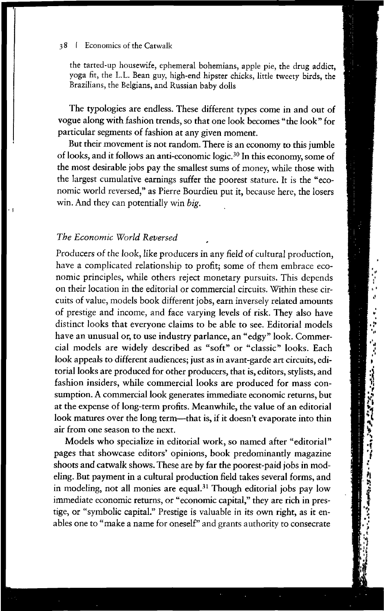### 3 8 I Economics of the Catwalk

the tarted-up housewife, ephemeral bohemians, apple pie, the drug addict, yoga fit, the L.L. Bean guy, high-end hipster chicks, little tweety birds, the Brazilians, the Belgians, and Russian baby dolls

The typologies are endless. These different types come in and out of vogue along with fashion trends, so that one look becomes "the look" for particular segments of fashion at any given moment.

But their movement is not random. There is an economy to this jumble of looks, and it follows an anti-economic logic.30 In this economy, some of the most desirable jobs pay the smallest sums of money, while those with the largest cumulative earnings suffer the poorest stature. It is the " economic world reversed," as Pierre Bourdieu put it, because here, the losers win. And they can potentially win *big.*

# *The Economic World Reversed*

Producers of the look, like producers in any field of cultural production, have a complicated relationship to profit; some of them embrace economic principles, while others reject monetary pursuits. This depends on their location in the editorial or commercial circuits. Within these circults of value, models book different jobs, earn inversely related amounts of prestige and income, and face varying levels of risk. They also have distinct looks that everyone claims to be able to see. Editorial models have an unusual or, to use industry parlance, an " edgy" look. Commercial models are widely described as " soft" or " classic" looks. Each look appeals to different audiences; just as in avant-garde art circuits, editorial looks are produced for other producers, that is, editors, stylists, and fashion insiders, while commercial looks are produced for mass consumption. A commercial look generates immediate economic returns, but at the expense of long-term profits. Meanwhile, the value of an editorial look matures over the long term—that is, if it doesn't evaporate into thin air from one season to the next.

化过程 计连接电话连接线 医氧化物

Models who specialize in editorial work, so named after "editorial" pages that showcase editors' opinions, book predominantly magazine shoots and catwalk shows. These are by far the poorest-paid jobs in modeling. But payment in a cultural production field takes several forms, and in modeling, not all monies are equal.<sup>31</sup> Though editorial jobs pay low immediate economic returns, or "economic capital," they are rich in prestige, or " symbolic capital." Prestige is valuable in its own right, as it enables one to " make a name for oneself" and grants authority to consecrate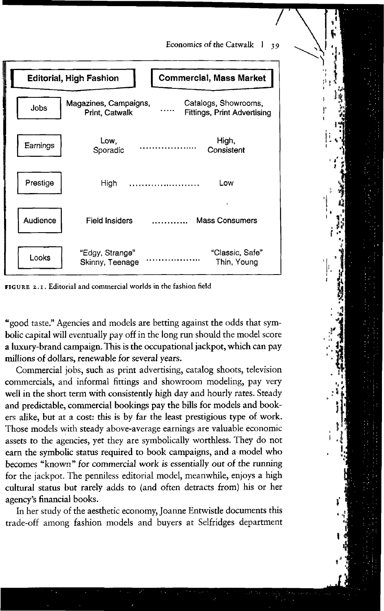Economics of the Catwalk  $\exists$ 



**FIGURE 2.1. Editorial and commercial worlds in the fashion field** 

" good taste." Agencies and models are betting against the odds that symbolic capital will eventually pay off in the long run should the model score a luxury-brand campaign. This is the occupational jackpot, which can pay millions of dollars, renewable for several years.

Commercial jobs, such as print advertising, catalog shoots, television commercials, and informal fittings and showroom modeling, pay very well in the short term with consistently high day and hourly rates. Steady and predictable, commercial bookings pay the bills for models and bookers alike, but at a cost: this is by far the least prestigious type of work. Those models with steady above-average earnings are valuable economic assets to the agencies, yet they are symbolically worthless. They do not earn the symbolic status required to book campaigns, and a model who becomes "known" for commercial work is essentially out of the running for the jackpot. The penniless editorial model, meanwhile, enjoys a high cultural status but rarely adds to (and often detracts from) his or her agency's financial books.

In her study of the aesthetic economy, Joanne Entwistle documents this trade-off among fashion models and buyers at Selfridges department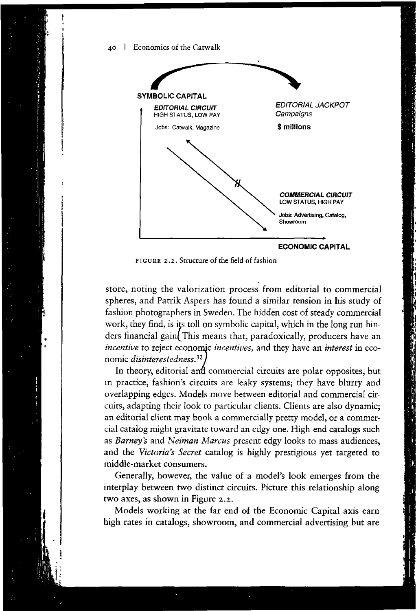

FIGURE 2.2. Structure of the field of fashion

store, noting the valorization process from editorial to commercial spheres, and Patrik Aspers has found a similar tension in his study of fashion photographers in Sweden. The hidden cost of steady commercial work, they find, is its toll on symbolic capital, which in the long run hinders financial gain(This means that, paradoxically, producers have an *incentive* to reject economic *incentives,* and they have an *interest* in economic *disinterestedness} 1 J*

In theory, editorial and commercial circuits are polar opposites, but in practice, fashion's circuits are leaky systems; they have blurry and overlapping edges. Models move between editorial and commercial circuits, adapting their look to particular clients. Clients are also dynamic; an editorial client may book a commercially pretty model, or a commercial catalog might gravitate toward an edgy one. High-end catalogs such as *Barney's* and *Neiman Marcus* present edgy looks to mass audiences, and the *Victoria's Secret* catalog is highly prestigious yet targeted to middle-market consumers.

Generally, however, the value of a model's look emerges from the interplay between two distinct circuits. Picture this relationship along two axes, as shown in Figure 2.2.

Models working at the far end of the Economic Capital axis earn high rates in catalogs, showroom, and commercial advertising but are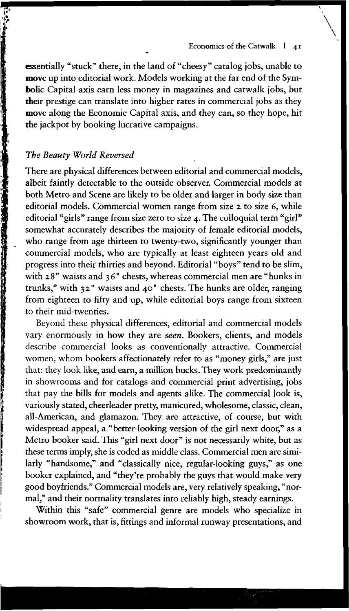essentially " stuck" there, in the land of "cheesy" catalog jobs, unable to move up into editorial work. Models working at the far end of the Symbolic Capital axis earn less money in magazines and catwalk jobs, but their prestige can translate into higher rates in commercial jobs as they move along the Economic Capital axis, and they can, so they hope, hit the jackpot by booking lucrative campaigns.

# *The Beauty World Reversed*

网络小叶亚科 计数据数据数据数据数据

There are physical differences between editorial and commercial models, albeit faintly detectable to the outside observer. Commercial models at both Metro and Scene are likely to be older and larger in body size than editorial models. Commercial women range from size 2 to size *6,* while editorial "girls" range from size zero to size 4. The colloquial term "girl" somewhat accurately describes the majority of female editorial models, who range from age thirteen to twenty-two, significantly younger than commercial models, who are typically at least eighteen years old and progress into their thirties and beyond. Editorial " boys" tend to be slim, with 28" waists and 3*6"* chests, whereas commercial men are " hunks in trunks," with 32" waists and 40" chests. The hunks are older, ranging from eighteen to fifty and up, while editorial boys range from sixteen to their mid-twenties.

Beyond these physical differences, editorial and commercial models vary enormously in how they are *seen.* Bookers, clients, and models describe commercial looks as conventionally attractive. Commercial women, whom bookers affectionately refer to as " money girls," are just that: they look like, and earn, a million bucks. They work predominantly in showrooms and for catalogs and commercial print advertising, jobs that pay the bills for models and agents alike. The commercial look is, variously stated, cheerleader pretty, manicured, wholesome, classic, clean, all-American, and glamazon. They are attractive, of course, but with widespread appeal, a "better-looking version of the girl next door," as a Metro booker said. This "girl next door" is not necessarily white, but as these terms imply, she is coded as middle class. Commercial men are similarly "handsome," and "classically nice, regular-looking guys," as one booker explained, and "they're probably the guys that would make very good boyfriends." Commercial models are, very relatively speaking, " normal," and their normality translates into reliably high, steady earnings.

Within this "safe" commercial genre are models who specialize in showroom work, that is, fittings and informal runway presentations, and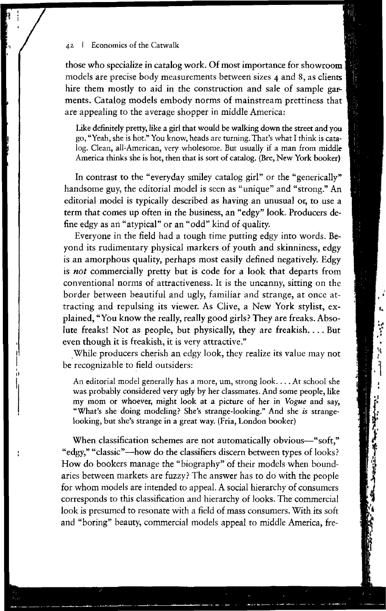### 42 | Economics of the Catwalk

those who specialize in catalog work. Of most importance for showroom models are precise body measurements between sizes 4 and 8, as clients hire them mostly to aid in the construction and sale of sample garments. Catalog models embody norms of mainstream prettiness that are appealing to the average shopper in middle America:

Like definitely pretty, like a girl that would be walking down the street and you go, " Yeah, she is hot." You know, heads are turning. That's what I think is catalog. Clean, all-American, very wholesome. But usually if a man from middle America thinks she is hot, then that is sort of catalog. (Bre, New York booker)

In contrast to the "everyday smiley catalog girl" or the "generically" handsome guy, the editorial model is seen as "unique" and "strong." An editorial model is typically described as having an unusual or, to use a term that comes up often in the business, an "edgy" look. Producers define edgy as an " atypical" or an " odd" kind of quality.

Everyone in the field had a tough time putting edgy into words. Beyond its rudimentary physical markers of youth and skinniness, edgy is an amorphous quality, perhaps most easily defined negatively. Edgy is *not* commercially pretty but is code for a look that departs from conventional norms of attractiveness. It is the uncanny, sitting on the border between beautiful and ugly, familiar and strange, at once attracting and repulsing its viewer. As Clive, a New York stylist, explained, " You know the really, really good girls? They are freaks. Absolute freaks! Not as people, but physically, they are freakish.. . . But even though it is freakish, it is very attractive."

While producers cherish an edgy look, they realize its value may not be recognizable to field outsiders:

An editorial model generally has a more,  $um$ , strong look.... At school she was probably considered very ugly by her classmates. And some people, like my mom or whoever, might look at a picture of her in *Vogue* and say, " What's she doing modeling? She's strange-looking." And she *is* strangelooking, but she's strange in a great way. (Fria, London booker)

When classification schemes are not automatically obvious—"soft," " edgy," " classic"—how do the classifiers discern between types of looks? How do bookers manage the "biography" of their models when boundaries between markets are fuzzy? The answer has to do with the people for whom models are intended to appeal. A social hierarchy of consumers corresponds to this classification and hierarchy of looks. The commercial look is presumed to resonate with a field of mass consumers. With its soft and "boring" beauty, commercial models appeal to middle America, fre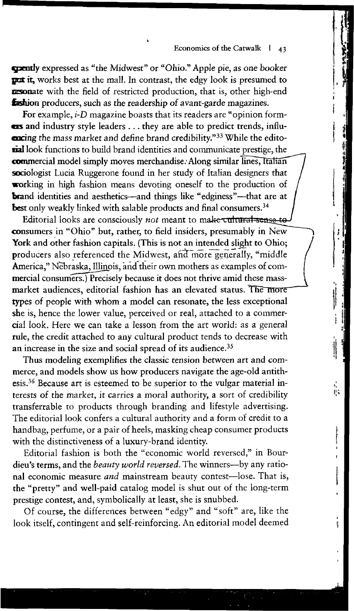i.<br>R

**grently** expressed as "the Midwest" or " Ohio." Apple pie, as one booker put it, works best at the mall. In contrast, the edgy look is presumed to !Esonate with the field of restricted production, that is, other high-end **fashion** producers, such as the readership of avant-garde magazines.

For example, *i-D* magazine boasts that its readers are "opinion form- $\bullet$ s and industry style leaders . . . they are able to predict trends, influ- $\epsilon$  axing the mass market and define brand credibility."<sup>33</sup> While the editonial look functions to build brand identities and communicate prestige, the commercial model simply moves merchandise. Along similar lines, Italian sociologist Lucia Ruggerone found in her study of Italian designers that working in high fashion means devoting oneself to the production of brand identities and aesthetics—and things like "edginess"—that are at best only weakly linked with salable products and final consumers.<sup>34</sup>

Editorial looks are consciously *not* meant to ma consumers in "Ohio" but, rather, to field insiders, presumably in New York and other fashion capitals. (This is not an intended slight to Ohio; producers also referenced the Midwest, and more generally, "middle America," Nebraska, Ulinois, and their own mothers as examples of commercial consumers.) Precisely because it does not thrive amid these massmarket audiences, editorial fashion has an elevated status. The more types of people with whom a model can resonate, the less exceptional she is, hence the lower value, perceived or real, attached to a commercial look. Here we can take a lesson from the art world: as a general rule, the credit attached to any cultural product tends to decrease with an increase in the size and social spread of its audience.<sup>35</sup>

Thus modeling exemplifies the classic tension between art and commerce, and models show us how producers navigate the age-old antithesis.36 Because art is esteemed to be superior to the vulgar material interests of the market, it carries a moral authority, a sort of credibility transferrable to products through branding and lifestyle advertising. The editorial look confers a cultural authority and a form of credit to a handbag, perfume, or a pair of heels, masking cheap consumer products with the distinctiveness of a luxury-brand identity.

Editorial fashion is both the "economic world reversed," in Bourdieu's terms, and the *beauty world reversed.* The winners—by any rational economic measure *and* mainstream beauty contest—lose. That is, the "pretty" and well-paid catalog model is shut out of the long-term prestige contest, and, symbolically at least, she is snubbed.

Of course, the differences between " edgy" and " soft" are, like the look itself, contingent and self-reinforcing. An editorial model deemed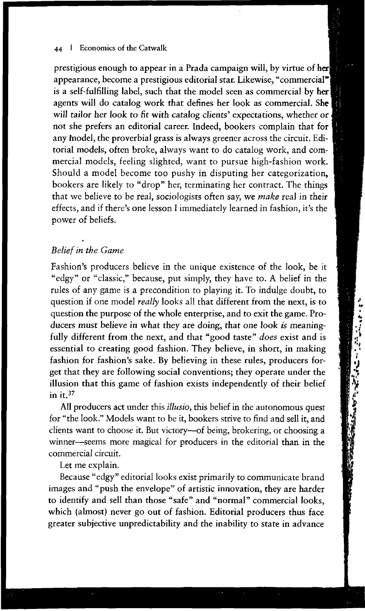## 44 I Economics of the Catwalk

prestigious enough to appear in a Prada campaign will, by virtue of h appearance, become a prestigious editorial star. Likewise, " commercial" is a self-fulfilling label, such that the model seen as commercial by her agents will do catalog work that defines her look as commercial. She will tailor her look to fit with catalog clients' expectations, whether or not she prefers an editorial career. Indeed, bookers complain that for any fnodel, the proverbial grass is always greener across the circuit. Editorial models, often broke, always want to do catalog work, and commercial models, feeling slighted, want to pursue high-fashion work. Should a model become too pushy in disputing her categorization, bookers are likely to " drop" her, terminating her contract. The things that we believe to be real, sociologists often say, we *make* real in their effects, and if there's one lesson I immediately learned in fashion, it's the power of beliefs.

# *Belief in the Game*

Fashion's producers believe in the unique existence of the look, be it " edgy" or " classic," because, put simply, they have to. A belief in the rules of any game is a precondition to playing it. To indulge doubt, to question if one model *really* looks all that different from the next, is to question the purpose of the whole enterprise, and to exit the game. Producers must believe in what they are doing, that one look *is* meaningfully different from the next, and that " good taste" *does* exist and is essential to creating good fashion. They believe, in short, in making fashion for fashion's sake. By believing in these rules, producers forget that they are following social conventions; they operate under the illusion that this game of fashion exists independently of their belief in it.37

All producers act under this *illusio,* this belief in the autonomous quest for " the look." Models want to be it, bookers strive to find and sell it, and clients want to choose it. But victory—of being, brokering, or choosing a winner—seems more magical for producers in the editorial than in the commercial circuit.

Let me explain.

Because "edgy" editorial looks exist primarily to communicate brand images and "push the envelope" of artistic innovation, they are harder to identify and sell than those " safe" and " normal" commercial looks, which (almost) never go out of fashion. Editorial producers thus face greater subjective unpredictability and the inability to state in advance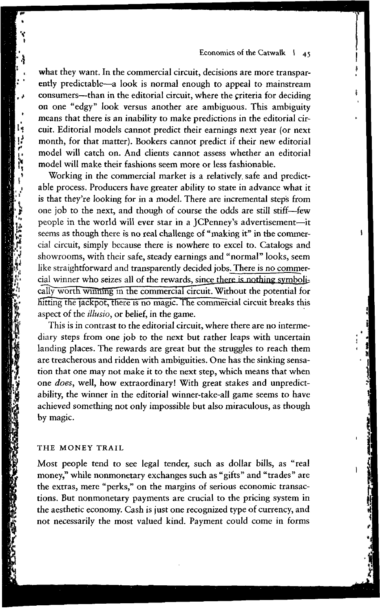## Economics of the Catwalk  $\begin{bmatrix} 45 \end{bmatrix}$

ţ

ŧ

what they want. In the commercial circuit, decisions are more transparently predictable—a look is normal enough to appeal to mainstream consumers—than in the editorial circuit, where the criteria for deciding on one "edgy" look versus another are ambiguous. This ambiguity means that there is an inability to make predictions in the editorial circuit. Editorial models cannot predict their earnings next year (or next month, for that matter). Bookers cannot predict if their new editorial model will catch on. And clients cannot assess whether an editorial model will make their fashions seem more or less fashionable.

Working in the commercial market is a relatively, safe and predictable process. Producers have greater ability to state in advance what it is that they're looking for in a model. There are incremental steps from one job to the next, and though of course the odds are still stiff—few people in the world will ever star in a JCPenney's advertisement—it seems as though there is no real challenge of " making it" in the commercial circuit, simply because there is nowhere to excel to. Catalogs and showrooms, with their safe, steady earnings and " normal" looks, seem like straightforward and transparently decided jobs. There is no commercial winner who seizes all of the rewards, since there is nothing symbolicallyworth winning m the commercial circuit. Without the potential for hitting the jackpot, there is no magic. The commercial circuit breaks this aspect of the *illusio,* or belief, in the game.

This is in contrast to the editorial circuit, where there are no intermediary steps from one job to the next but rather leaps with uncertain landing places. The rewards are great but the struggles to reach them are treacherous and ridden with ambiguities. One has the sinking sensation that one may not make it to the next step, which means that when one *does*, well, how extraordinary! With great stakes and unpredictability, the winner in the editorial winner-take-all game seems to have achieved something not only impossible but also miraculous, as though by magic.

## THE MONEY TRAIL

Most people tend to see legal tender, such as dollar bills, as " real money," while nonmonetary exchanges such as " gifts" and "trades" are the extras, mere "perks," on the margins of serious economic transactions. But nonmonetary payments are crucial to the pricing system in the aesthetic economy. Cash is just one recognized type of currency, and not necessarily the most valued kind. Payment could come in forms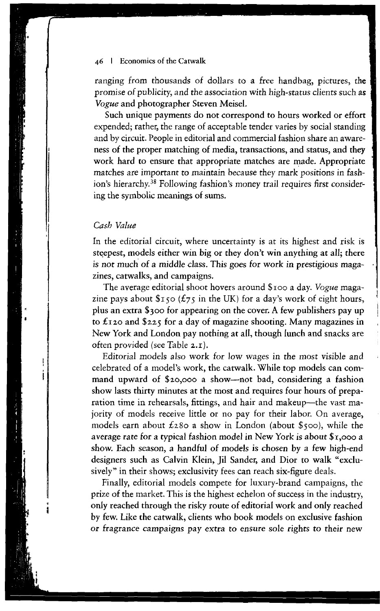#### 4*6* I Economics of the Catwalk

ranging from thousands of dollars to a free handbag, pictures, the promise of publicity, and the association with high-status clients such as *Vogue* and photographer Steven Meisel.

Such unique payments do not correspond to hours worked or effort expended; rather, the range of acceptable tender varies by social standing and by circuit. People in editorial and commercial fashion share an awareness of the proper matching of media, transactions, and status, and they work hard to ensure that appropriate matches are made. Appropriate matches are important to maintain because they mark positions in fashion's hierarchy.<sup>38</sup> Following fashion's money trail requires first considering the symbolic meanings of sums.

## *Cash Value*

In the editorial circuit, where uncertainty is at its highest and risk is steepest, models either win big or they don't win anything at all; there is not much of a middle class. This goes for work in prestigious magazines, catwalks, and campaigns.

The average editorial shoot hovers around \$100 a day. *Vogue* magazine pays about  $f_1$ so ( $f_7$ s in the UK) for a day's work of eight hours, plus an extra \$300 for appearing on the cover. A few publishers pay up to  $\pounds$  120 and  $\pounds$ 225 for a day of magazine shooting. Many magazines in New York and London pay nothing at all, though lunch and snacks are often provided (see Table 2.1).

Editorial models also work for low wages in the most visible and celebrated of a model's work, the catwalk. While top models can command upward of \$20,000 a show—not bad, considering a fashion show lasts thirty minutes at the most and requires four hours of preparation time in rehearsals, fittings, and hair and makeup—the vast majority of models receive little or no pay for their labor. On average, models earn about  $£280$  a show in London (about  $$500$ ), while the average rate for a typical fashion model in New York is about \$1,000 a show. Each season, a handful of models is chosen by a few high-end designers such as Calvin Klein, Jil Sander, and Dior to walk "exclusively" in their shows; exclusivity fees can reach six-figure deals.

Finally, editorial models compete for luxury-brand campaigns, the prize of the market. This is the highest echelon of success in the industry, only reached through the risky route of editorial work and only reached by few. Like the catwalk, clients who book models on exclusive fashion or fragrance campaigns pay extra to ensure sole rights to their new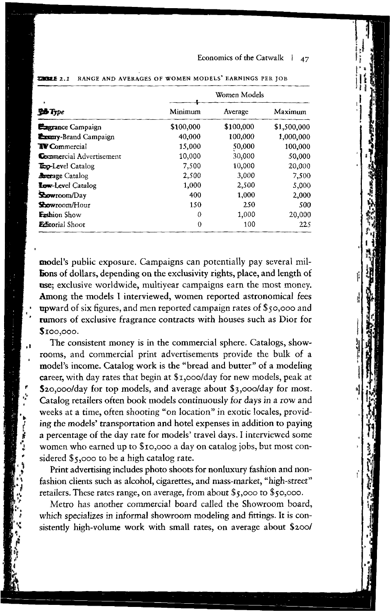### Economics of the Catwalk  $\begin{array}{c} | \\ 47 \end{array}$

| ٠<br><b>Bb</b> Type             | Women Models |           |             |
|---------------------------------|--------------|-----------|-------------|
|                                 | Minimum      | Average   | Maximum     |
| <b>Exercice</b> Campaign        | \$100,000    | \$100,000 | \$1,500,000 |
| <b>Examy-Brand Campaign</b>     | 40,000       | 100,000   | 1,000,000   |
| <b>IV Commercial</b>            | 15,000       | 50,000    | 100,000     |
| <b>Commercial Advertisement</b> | 10,000       | 30,000    | 50,000      |
| <b>To-Level Catalog</b>         | 7,500        | 10,000    | 20,000      |
| <b>Average</b> Catalog          | 2,500        | 3,000     | 7,500       |
| Low-Level Catalog               | 1,000        | 2,500     | 5,000       |
| <b>Showroom/Day</b>             | 400          | 1,000     | 2,000       |
| <b>Showroom/Hour</b>            | 150          | 250       | 500         |
| <b>Exhion Show</b>              | 0            | 1,000     | 20,000      |
| Editorial Shoot                 | 0            | 100       | 225         |

RANGE AND AVERAGES OF WOMEN MODELS' EARNINGS PER JOB

model's public exposure. Campaigns can potentially pay several mil-Eons of dollars, depending on the exclusivity rights, place, and length of nse; exclusive worldwide, multiyear campaigns earn the most money. Among the models I interviewed, women reported astronomical fees npward of six figures, and men reported campaign rates of \$50,000 and tumors of exclusive fragrance contracts with houses such as Dior for **\$** 100**,**000**.**

.

The consistent money is in the commercial sphere. Catalogs, showrooms, and commercial print advertisements provide the bulk of a model's income. Catalog work is the " bread and butter" of a modeling career, with day rates that begin at \$1,ooo/day for new models, peak at \$20,000/day for top models, and average about \$3,ooo/day for most. Catalog retailers often book models continuously for days in a row and weeks at a time, often shooting "on location" in exotic locales, providing the models' transportation and hotel expenses in addition to paying a percentage of the day rate for models' travel days. I interviewed some women who earned up to \$10,000 a day on catalog jobs, but most considered  $s$ 5,000 to be a high catalog rate.

Print advertising includes photo shoots for nonluxury fashion and nonfashion clients such as alcohol, cigarettes, and mass-market, "high-street" retailers. These rates range, on average, from about  $\frac{1}{2}$ ,000 to  $\frac{1}{2}$ ,000.

Metro has another commercial board called the Showroom board, which specializes in informal showroom modeling and fittings. It is consistently high-volume work with small rates, on average about \$200/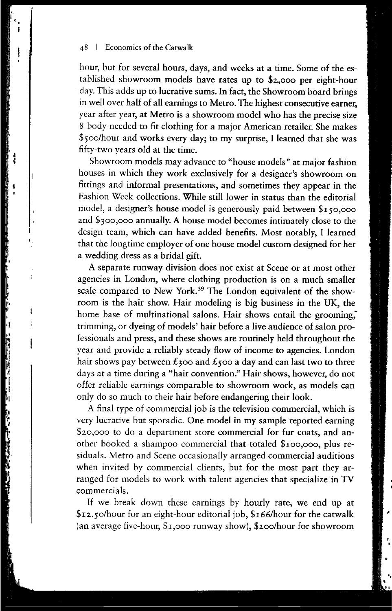#### 48 I Economics of the Catwalk

,但是,我们的学生,我们的学生,我们的学生,我们的学生,我们的学生,我们的学生,我们的学生,我们的学生,我们的学生,我们的学生,我们的学生,我们的学生,我们的学生

hour, but for several hours, days, and weeks at a time. Some of the established showroom models have rates up to \$2,000 per eight-hour day. This adds up to lucrative sums. In fact, the Showroom board brings in well over half of all earnings to Metro. The highest consecutive earner year after year, at Metro is a showroom model who has the precise size 8 body needed to fit clothing for a major American retailer. She makes \$500/h0ur and works every day; to my surprise, I learned that she was fifty-two years old at the time.

Showroom models may advance to " house models" at major fashion houses in which they work exclusively for a designer's showroom on fittings and informal presentations, and sometimes they appear in the Fashion Week collections. While still lower in status than the editorial model, a designer's house model is generously paid between \$150,000 and \$300,000 annually. A house model becomes intimately close to the design team, which can have added benefits. Most notably, I learned that the longtime employer of one house model custom designed for her a wedding dress as a bridal gift.

A separate runway division does not exist at Scene or at most other agencies in London, where clothing production is on a much smaller scale compared to New York.39 The London equivalent of the showroom is the hair show. Hair modeling is big business in the UK, the home base of multinational salons. Hair shows entail the grooming, trimming, or dyeing of models' hair before a live audience of salon professionals and press, and these shows are routinely held throughout the year and provide a reliably steady flow of income to agencies. London hair shows pay between  $\mathfrak{L}$ 300 and  $\mathfrak{L}$ 500 a day and can last two to three days at a time during a " hair convention." Hair shows, however, do not offer reliable earnings comparable to showroom work, as models can only do so much to their hair before endangering their look.

A final type of commercial job is the television commercial, which is very lucrative but sporadic. One model in my sample reported earning \$20,000 to do a department store commercial for fur coats, and another booked a shampoo commercial that totaled \$100,000, plus residuals. Metro and Scene occasionally arranged commercial auditions when invited by commercial clients, but for the most part they arranged for models to work with talent agencies that specialize in TV commercials.

If we break down these earnings by hourly rate, we end up at \$12.50/hour for an eight-hour editorial job, \$166/hour for the catwalk (an average five-hour, \$1,000 runway show), \$200/h0ur for showroom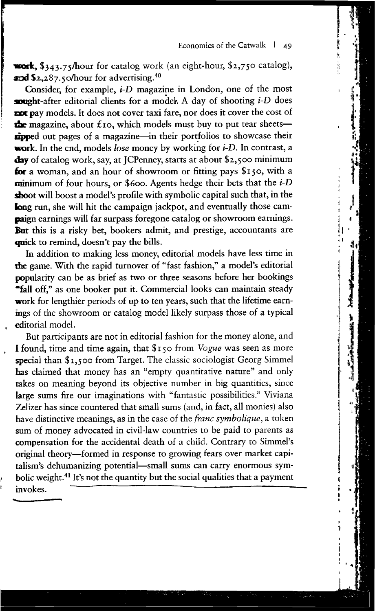work,  $\frac{1}{2}$ ,  $\frac{1}{2}$ ,  $\frac{1}{2}$ ,  $\frac{1}{2}$ ,  $\frac{1}{2}$  for catalog work (an eight-hour,  $\frac{1}{2}$ ,  $\frac{1}{2}$ ,  $\frac{1}{2}$ ,  $\frac{1}{2}$ ,  $\frac{1}{2}$ ,  $\frac{1}{2}$ ,  $\frac{1}{2}$ ,  $\frac{1}{2}$ ,  $\frac{1}{2}$ ,  $\frac{1}{2}$ ,  $\frac{1}{2}$ ,  $\frac{1}{2$ **and** \$2,287.50/hour for advertising.<sup>40</sup>

Consider, for example, *i-D* magazine in London, one of the most sought-after editorial clients for a model. A day of shooting *i-D* does cot pay models. It does not cover taxi fare, nor does it cover the cost of the magazine, about  $\epsilon$  10, which models must buy to put tear sheets lipped out pages of a magazine—in their portfolios to showcase their work. In the end, models *lose* money by working for *i-D.* In contrast, a day of catalog work, say, at JCPenney, starts at about \$2,500 minimum for a woman, and an hour of showroom or fitting pays \$150, with a minimum of four hours, or \$600. Agents hedge their bets that the *i-D* shoot will boost a model's profile with symbolic capital such that, in the long run, she will hit the campaign jackpot, and eventually those campaign earnings will far surpass foregone catalog or showroom earnings. But this is a risky bet, bookers admit, and prestige, accountants are quick to remind, doesn't pay the bills.

In addition to making less money, editorial models have less time in the game. With the rapid turnover of "fast fashion," a model's editorial popularity can be as brief as two or three seasons before her bookings "fall off," as one booker put it. Commercial looks can maintain steady work for lengthier periods of up to ten years, such that the lifetime earnings of the showroom or catalog model likely surpass those of a typical editorial model.

But participants are not in editorial fashion for the money alone, and I found, time and time again, that  $s_{150}$  from *Vogue* was seen as more special than \$1,500 from Target. The classic sociologist Georg Simmel has claimed that money has an "empty quantitative nature" and only takes on meaning beyond its objective number in big quantities, since large sums fire our imaginations with "fantastic possibilities." Viviana Zelizer has since countered that small sums (and, in fact, all monies) also have distinctive meanings, as in the case of the *franc symbolique,* a token sum of money advocated in civil-law countries to be paid to parents as compensation for the accidental death of a child. Contrary to Simmel's original theory—formed in response to growing fears over market capitalism's dehumanizing potential—small sums can carry enormous symbolic weight.<sup>41</sup> It's not the quantity but the social qualities that a payment invokes.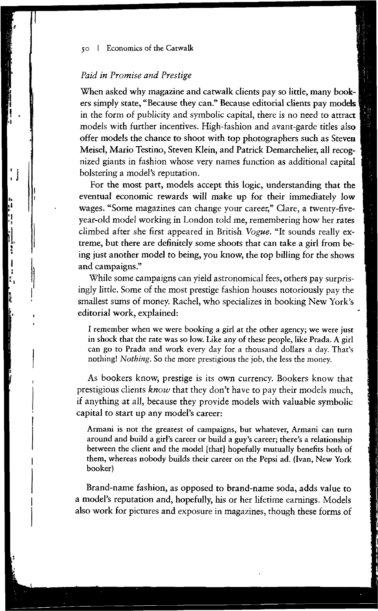jo I Economics of the Catwalk

## *Paid, in Promise and Prestige*

**Many and Party** 

When asked why magazine and catwalk clients pay so little, many bookers simply state, "Because they can." Because editorial clients pay models in the form of publicity and symbolic capital, there is no need to attract models with further incentives. High-fashion and avant-garde titles also offer models the chance to shoot with top photographers such as Steven Meisel, Mario Testino, Steven Klein, and Patrick Demarchelier, all recognized giants in fashion whose very names function as additional capital bolstering a model's reputation.

For the most part, models accept this logic, understanding that the eventual economic rewards will make up for their immediately low wages. "Some magazines can change your career," Clare, a twenty-fiveyear-old model working in London told me, remembering how her rates climbed after she first appeared in British *Vogue.* " It sounds really extreme, but there are definitely some shoots that can take a girl from being just another model to being, you know, the top billing for the shows and campaigns."

While some campaigns can yield astronomical fees, others pay surprisingly little. Some of the most prestige fashion houses notoriously pay the smallest sums of money. Rachel, who specializes in booking New York's editorial work, explained:

I remember when we were booking a girl at the other agency; we were just in shock that the rate was so low. Like any of these people, like Prada. A girl can go to Prada and work every day for a thousand dollars a day. That's nothing! *Nothing*. So the more prestigious the job, the less the money.

As bookers know, prestige is its own currency. Bookers know that prestigious clients *know* that they don't have to pay their models much, if anything at all, because they provide models with valuable symbolic capital to start up any model's career:

Armani is not the greatest of campaigns, but whatever, Armani can turn around and build a girl's career or build a guy's career; there's a relationship between the client and the model [that] hopefully mutually benefits both of them, whereas nobody builds their career on the Pepsi ad. (Ivan, New York booker)

Brand-name fashion, as opposed to brand-name soda, adds value to a model's reputation and, hopefully, his or her lifetime earnings. Models also work for pictures and exposure in magazines, though these forms of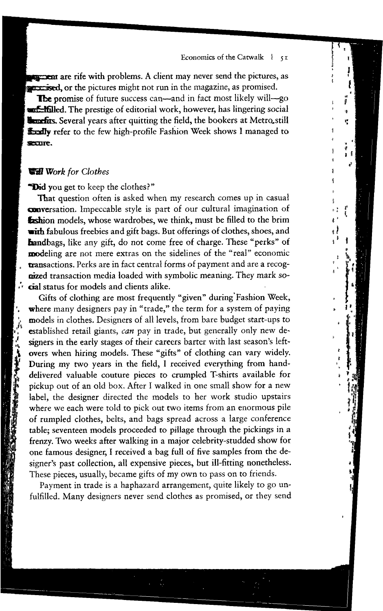$\ddagger$ ŧ

 $\mathbf{t}$ 

arction are rife with problems. A client may never send the pictures, as seed, or the pictures might not run in the magazine, as promised.

**The promise** of future success can—and in fact most likely will—go **unffilled.** The prestige of editorial work, however, has lingering social **lenefits.** Several years after quitting the field, the bookers at Metro still **fixally** refer to the few high-profile Fashion Week shows I managed to  $sumre.$ 

# **Wall Work for Clothes**

**1990年的一个人的情绪是在这里的人的时候,我们也不是一个人的人的。** 

**\*Did** you get to keep the clothes?"

That question often is asked when my research comes up in casual **conversation.** Impeccable style is part of our cultural imagination of **fashion** models, whose wardrobes, we think, must be filled to the brim with fabulous freebies and gift bags. But offerings of clothes, shoes, and feandbags, like any gift, do not come free of charge. These " perks" of modeling are not mere extras on the sidelines of the " real" economic transactions. Perks are in fact central forms of payment and are a recognized transaction media loaded with symbolic meaning. They mark social status for models and clients alike.

Gifts of clothing are most frequently " given" during Fashion Week, where many designers pay in "trade," the term for a system of paying models in clothes. Designers of all levels, from bare budget start-ups to established retail giants, *can* pay in trade, but generally only new designers in the early stages of their careers barter with last season's leftovers when hiring models. These " gifts" of clothing can vary widely. During my two years in the field, I received everything from handdelivered valuable couture pieces to crumpled T-shirts available for pickup out of an old box. After I walked in one small show for a new label, the designer directed the models to her work studio upstairs where we each were told to pick out two items from an enormous pile of rumpled clothes, belts, and bags spread across a large conference table; seventeen models proceeded to pillage through the pickings in a frenzy. Two weeks after walking in a major celebrity-studded show for one famous designer, I received a bag full of five samples from the designer's past collection, all expensive pieces, but ill-fitting nonetheless. These pieces, usually, became gifts of my own to pass on to friends.

Payment in trade is a haphazard arrangement, quite likely to go unfulfilled. Many designers never send clothes as promised, or they send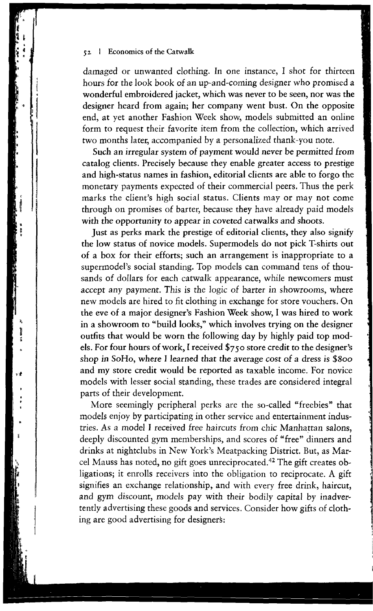### 52 | Economics of the Catwalk

damaged or unwanted clothing. In one instance, I shot for thirteen hours for the look book of an up-and-coming designer who promised a wonderful embroidered jacket, which was never to be seen, nor was the designer heard from again; her company went bust. On the opposite end, at yet another Fashion Week show, models submitted an online form to request their favorite item from the collection, which arrived two months later, accompanied by a personalized thank-you note.

Such an irregular system of payment would never be permitted from catalog clients. Precisely because they enable greater access to prestige and high-status names in fashion, editorial clients are able to forgo the monetary payments expected of their commercial peers. Thus the perk marks the client's high social status. Clients may or may not come through on promises of barter, because they have already paid models with the opportunity to appear in coveted catwalks and shoots.

Just as perks mark the prestige of editorial clients, they also signify the low status of novice models. Supermodels do not pick T-shirts out of a box for their efforts; such an arrangement is inappropriate to a supermodel's social standing. Top models can command tens of thousands of dollars for each catwalk appearance, while newcomers must accept any payment. This is the logic of barter in showrooms, where new models are hired to fit clothing in exchange for store vouchers. On the eve of a major designer's Fashion Week show, I was hired to work in a showroom to "build looks," which involves trying on the designer outfits that would be worn the following day by highly paid top models. For four hours of work, I received \$750 store credit to the designer's shop in S0H0, where I learned that the average cost of a dress is \$800 and my store credit would be reported as taxable income. For novice models with lesser social standing, these trades are considered integral parts of their development.

More seemingly peripheral perks are the so-called " freebies" that models enjoy by participating in other service and entertainment industries. As a model I received free haircuts from chic Manhattan salons, deeply discounted gym memberships, and scores of "free" dinners and drinks at nightclubs in New York's Meatpacking District. But, as Marcel Mauss has noted, no gift goes unreciprocated.<sup>42</sup> The gift creates obligations; it enrolls receivers into the obligation to reciprocate. A gift signifies an exchange relationship, and with every free drink, haircut, and gym discount, models pay with their bodily capital by inadvertently advertising these goods and services. Consider how gifts of clothing are good advertising for designers: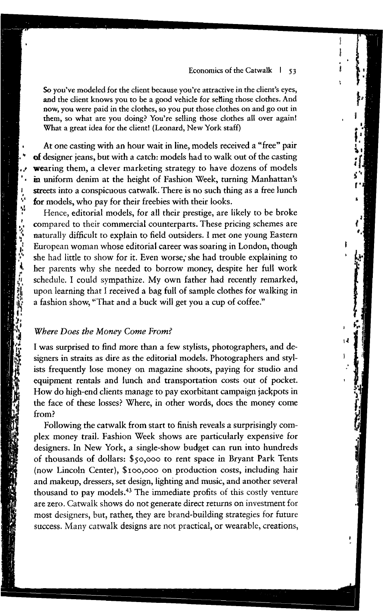### Economics of the Catwalk | 53

So you've modeled for the client because you're attractive in the client's eyes, and the client knows you to be a good vehicle for selling those clothes. And now, you were paid in the clothes, so you put those clothes on and go out in them, so what are you doing? You're selling those clothes all over again! What a great idea for the client! (Leonard, New York staff)

At one casting with an hour wait in line, models received a " free" pair **of** designer jeans, but with a catch: models had to walk out of the casting wearing them, a clever marketing strategy to have dozens of models **in** uniform denim at the height of Fashion Week, turning Manhattan's streets into a conspicuous catwalk. There is no such thing as a free lunch for models, who pay for their freebies with their looks.

Hence, editorial models, for all their prestige, are likely to be broke compared to their commercial counterparts. These pricing schemes are naturally difficult to explain to field outsiders. I met one young Eastern European woman whose editorial career was soaring in London, though she had little to show for it. Even worse, she had trouble explaining to her parents why she needed to borrow money, despite her full work schedule. I could sympathize. My own father had recently remarked, upon learning that I received a bag full of sample clothes for walking in a fashion show, " That and a buck will get you a cup of coffee."

## *Where Does the Money Come From?*

ł Ŵ Ņ

> I was surprised to find more than a few stylists, photographers, and designers in straits as dire as the editorial models. Photographers and stylists frequently lose money on magazine shoots, paying for studio and equipment rentals and lunch and transportation costs out of pocket. How do high-end clients manage to pay exorbitant campaign jackpots in the face of these losses? Where, in other words, does the money come from?

> Following the catwalk from start to finish reveals a surprisingly complex money trail. Fashion Week shows are particularly expensive for designers. In New York, a single-show budget can run into hundreds of thousands of dollars: \$50,000 to rent space in Bryant Park Tents (now Lincoln Center), \$100,000 on production costs, including hair and makeup, dressers, set design, lighting and music, and another several thousand to pay models.43 The immediate profits of this costly venture are zero. Catwalk shows do not generate direct returns on investment for most designers, but, rather, they are brand-building strategies for future success. Many catwalk designs are not practical, or wearable, creations,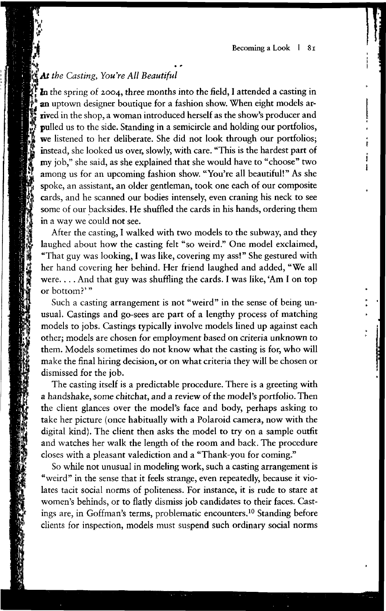ŀ

# *At the Casting, You're All Beautiful*

THE SHIP SHOPPIES

In the spring of 2004, three months into the field, I attended a casting in an uptown designer boutique for a fashion show. When eight models arrived in the shop, a woman introduced herself as the show's producer and pulled us to the side. Standing in a semicircle and holding our portfolios, we listened to her deliberate. She did not look through our portfolios; instead, she looked us over, slowly, with care. "This is the hardest part of my job," she said, as she explained that she would have to " choose" two among us for an upcoming fashion show. " You're all beautiful!" As she spoke, an assistant, an older gentleman, took one each of our composite cards, and he scanned our bodies intensely, even craning his neck to see some of our backsides. He shuffled the cards in his hands, ordering them in a way we could not see.

After the casting, I walked with two models to the subway, and they laughed about how the casting felt "so weird." One model exclaimed, "That guy was looking, I was like, covering my ass!" She gestured with her hand covering her behind. Her friend laughed and added, "We all were.... And that guy was shuffling the cards. I was like, 'Am I on top or bottom?' "

Such a casting arrangement is not " weird" in the sense of being unusual. Castings and go-sees are part of a lengthy process of matching models to jobs. Castings typically involve models lined up against each other; models are chosen for employment based on criteria unknown to them. Models sometimes do not know what the casting is for, who will make the final hiring decision, or on what criteria they will be chosen or dismissed for the job.

The casting itself is a predictable procedure. There is a greeting with a handshake, some chitchat, and a review of the model's portfolio. Then the client glances over the model's face and body, perhaps asking to take her picture (once habitually with a Polaroid camera, now with the digital kind). The client then asks the model to try on a sample outfit and watches her walk the length of the room and back. The procedure closes with a pleasant valediction and a " Thank-you for coming."

So while not unusual in modeling work, such a casting arrangement is "weird" in the sense that it feels strange, even repeatedly, because it violates tacit social norms of politeness. For instance, it is rude to stare at women's behinds, or to flatly dismiss job candidates to their faces. Castings are, in Goffman's terms, problematic encounters.10 Standing before clients for inspection, models must suspend such ordinary social norms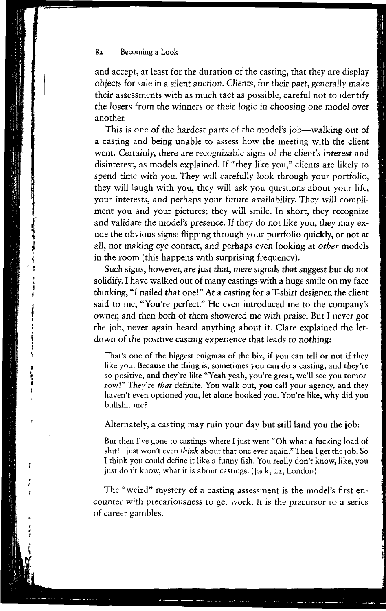#### 82 I Becoming a Look

 $\overline{1}$ 

and accept, at least for the duration of the casting, that they are display objects for sale in a silent auction. Clients, for their part, generally make their assessments with as much tact as possible, careful not to identify the losers from the winners or their logic in choosing one model over another.

This is one of the hardest parts of the model's job—walking out of a casting and being unable to assess how the meeting with the client went. Certainly, there are recognizable signs of the client's interest and disinterest, as models explained. If " they like you," clients are likely to spend time with you. They will carefully look through your portfolio, they will laugh with you, they will ask you questions about your life, your interests, and perhaps your future availability. They will compliment you and your pictures; they will smile. In short, they recognize and validate the model's presence. If they do not like you, they may exude the obvious signs: flipping through your portfolio quickly, or not at all, not making eye contact, and perhaps even looking at *other* models in the room (this happens with surprising frequency).

Such signs, however, are just that, mere signals that suggest but do not solidify. I have walked out of many castings with a huge smile on my face thinking, *" I* nailed that one!" At a casting for a T-shirt designer, the client said to me, " You're perfect." He even introduced me to the company's owner, and then both of them showered me with praise. But I never got the job, never again heard anything about it. Clare explained the letdown of the positive casting experience that leads to nothing:

That's one of the biggest enigmas of the biz, if you can tell or not if they like you. Because the thing is, sometimes you can do a casting, and they're so positive, and they're like "Yeah yeah, you're great, we'll see you tomorrow!" They're *that* definite. You walk out, you call your agency, and they haven't even optioned you, let alone booked you. You're like, why did you bullshit me?!

Alternately, a casting may ruin your day but still land you the job:

But then I've gone to castings where I just went " Oh what a fucking load of shit! I just won't even *think* about that one ever again." Then I get the job. So I think you could define it like a funny fish. You really don't know, like, you just don't know, what it is about castings. (Jack, 22, London)

The "weird" mystery of a casting assessment is the model's first encounter with precariousness to get work. It is the precursor to a series of career gambles.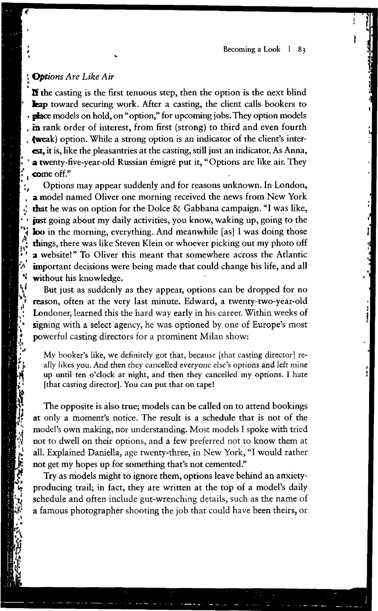## *Options Are Like Air*

Gfc

■גי

 $\mathbf{\Sigma}$  the casting is the first tenuous step, then the option is the next blind **leap** toward securing work. After a casting, the client calls bookers to **place** models on hold, on "option," for upcoming jobs. They option models  $\overline{\mathbf{m}}$  rank order of interest, from first (strong) to third and even fourth  $\epsilon$  (weak) option. While a strong option is an indicator of the client's inter**est,** it is, like the pleasantries at the casting, still just an indicator. As Anna, a twenty-five-year-old Russian emigre put it, " Options are like air. They come off."

Options may appear suddenly and for reasons unknown. In London, a model named Oliver one morning received the news from New York that he was on option for the Dolce & Gabbana campaign. "I was like, just going about my daily activities, you know, waking up, going to the loo in the morning, everything. And meanwhile [as] I was doing those things, there was like Steven Klein or whoever picking out my photo off a website!" To Oliver this meant that somewhere across the Atlantic important decisions were being made that could change his life, and all without his knowledge.

But just as suddenly as they appear, options can be dropped for no reason, often at the very last minute. Edward, a twenty-two-year-old Londoner, learned this the hard way early in his career. Within weeks of signing with a select agency, he was optioned by one of Europe's most powerful casting directors for a prominent Milan show:

My booker's like, we definitely got that, because [that casting director] really likes you. And then they cancelled everyone else's options and left mine up until ten o'clock at night, and then they cancelled my options. I hate [that casting director]. You can put that on tape!

The opposite is also true; models can be called on to attend bookings at only a moment's notice. The result is a schedule that is not of the model's own making, nor understanding. Most models I spoke with tried not to dwell on their options, and a few preferred not to know them at all. Explained Daniella, age twenty-three, in New York, "I would rather not get my hopes up for something that's not cemented."

Try as models might to ignore them, options leave behind an anxietyproducing trail; in fact, they are written at the top of a model's daily schedule and often include gut-wrenching details, such as the name of a famous photographer shooting the job that could have been theirs, or